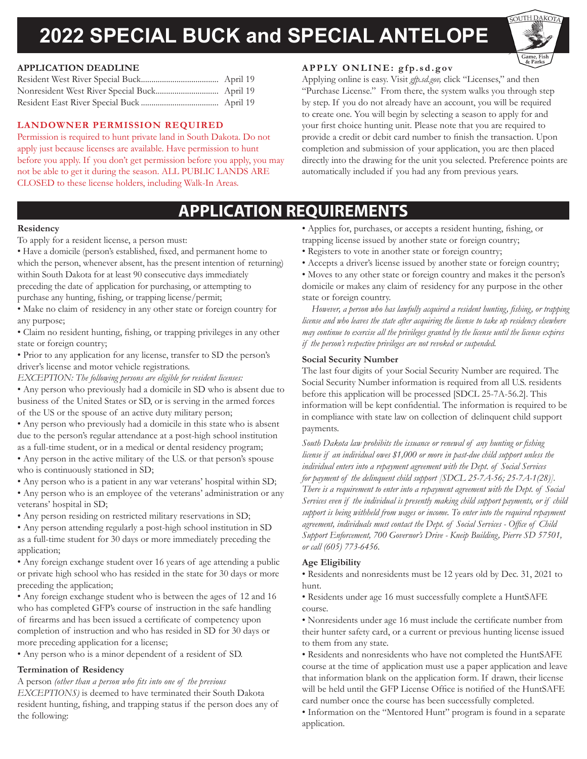# **2022 SPECIAL BUCK and SPECIAL ANTELOPE**



#### **APPLICATION DEADLINE**

#### **LANDOWNER PERMISSION REQUIRED**

Permission is required to hunt private land in South Dakota. Do not apply just because licenses are available. Have permission to hunt before you apply. If you don't get permission before you apply, you may not be able to get it during the season. ALL PUBLIC LANDS ARE CLOSED to these license holders, including Walk-In Areas.

#### **APPLY ONLINE: gfp.sd.gov**

Applying online is easy. Visit *gfp.sd.gov,* click "Licenses," and then "Purchase License." From there, the system walks you through step by step. If you do not already have an account, you will be required to create one. You will begin by selecting a season to apply for and your first choice hunting unit. Please note that you are required to provide a credit or debit card number to finish the transaction. Upon completion and submission of your application, you are then placed directly into the drawing for the unit you selected. Preference points are automatically included if you had any from previous years.

## **APPLICATION REQUIREMENTS**

#### **Residency**

To apply for a resident license, a person must:

• Have a domicile (person's established, fixed, and permanent home to which the person, whenever absent, has the present intention of returning) within South Dakota for at least 90 consecutive days immediately preceding the date of application for purchasing, or attempting to purchase any hunting, fishing, or trapping license/permit;

• Make no claim of residency in any other state or foreign country for any purpose;

• Claim no resident hunting, fishing, or trapping privileges in any other state or foreign country;

• Prior to any application for any license, transfer to SD the person's driver's license and motor vehicle registrations.

*EXCEPTION: The following persons are eligible for resident licenses:*

• Any person who previously had a domicile in SD who is absent due to business of the United States or SD, or is serving in the armed forces of the US or the spouse of an active duty military person;

• Any person who previously had a domicile in this state who is absent due to the person's regular attendance at a post-high school institution as a full-time student, or in a medical or dental residency program;

• Any person in the active military of the U.S. or that person's spouse who is continuously stationed in SD;

• Any person who is a patient in any war veterans' hospital within SD;

• Any person who is an employee of the veterans' administration or any veterans' hospital in SD;

• Any person residing on restricted military reservations in SD;

• Any person attending regularly a post-high school institution in SD as a full-time student for 30 days or more immediately preceding the application;

• Any foreign exchange student over 16 years of age attending a public or private high school who has resided in the state for 30 days or more preceding the application;

• Any foreign exchange student who is between the ages of 12 and 16 who has completed GFP's course of instruction in the safe handling of firearms and has been issued a certificate of competency upon completion of instruction and who has resided in SD for 30 days or more preceding application for a license;

• Any person who is a minor dependent of a resident of SD.

#### **Termination of Residency**

A person *(other than a person who fits into one of the previous* 

*EXCEPTIONS)* is deemed to have terminated their South Dakota resident hunting, fishing, and trapping status if the person does any of the following:

• Applies for, purchases, or accepts a resident hunting, fishing, or trapping license issued by another state or foreign country;

- Registers to vote in another state or foreign country;
- Accepts a driver's license issued by another state or foreign country;

• Moves to any other state or foreign country and makes it the person's domicile or makes any claim of residency for any purpose in the other state or foreign country.

*However, a person who has lawfully acquired a resident hunting, fishing, or trapping license and who leaves the state after acquiring the license to take up residency elsewhere may continue to exercise all the privileges granted by the license until the license expires if the person's respective privileges are not revoked or suspended.*

#### **Social Security Number**

The last four digits of your Social Security Number are required. The Social Security Number information is required from all U.S. residents before this application will be processed [SDCL 25-7A-56.2]. This information will be kept confidential. The information is required to be in compliance with state law on collection of delinquent child support payments.

*South Dakota law prohibits the issuance or renewal of any hunting or fishing license if an individual owes \$1,000 or more in past-due child support unless the individual enters into a repayment agreement with the Dept. of Social Services for payment of the delinquent child support [SDCL 25-7A-56; 25-7A-1(28)]. There is a requirement to enter into a repayment agreement with the Dept. of Social Services even if the individual is presently making child support payments, or if child support is being withheld from wages or income. To enter into the required repayment agreement, individuals must contact the Dept. of Social Services - Office of Child Support Enforcement, 700 Governor's Drive - Kneip Building, Pierre SD 57501, or call (605) 773-6456.*

#### **Age Eligibility**

• Residents and nonresidents must be 12 years old by Dec. 31, 2021 to hunt.

• Residents under age 16 must successfully complete a HuntSAFE course.

• Nonresidents under age 16 must include the certificate number from their hunter safety card, or a current or previous hunting license issued to them from any state.

• Residents and nonresidents who have not completed the HuntSAFE course at the time of application must use a paper application and leave that information blank on the application form. If drawn, their license will be held until the GFP License Office is notified of the HuntSAFE card number once the course has been successfully completed.

• Information on the "Mentored Hunt" program is found in a separate application.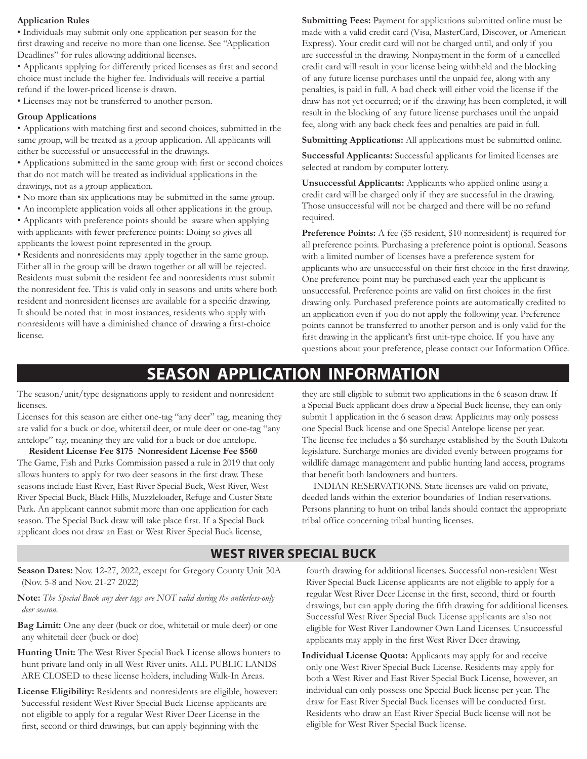#### **Application Rules**

• Individuals may submit only one application per season for the first drawing and receive no more than one license. See "Application Deadlines" for rules allowing additional licenses.

• Applicants applying for differently priced licenses as first and second choice must include the higher fee. Individuals will receive a partial refund if the lower-priced license is drawn.

• Licenses may not be transferred to another person.

#### **Group Applications**

• Applications with matching first and second choices, submitted in the same group, will be treated as a group application. All applicants will either be successful or unsuccessful in the drawings.

• Applications submitted in the same group with first or second choices that do not match will be treated as individual applications in the drawings, not as a group application.

- No more than six applications may be submitted in the same group.
- An incomplete application voids all other applications in the group.

• Applicants with preference points should be aware when applying with applicants with fewer preference points: Doing so gives all applicants the lowest point represented in the group.

• Residents and nonresidents may apply together in the same group. Either all in the group will be drawn together or all will be rejected. Residents must submit the resident fee and nonresidents must submit the nonresident fee. This is valid only in seasons and units where both resident and nonresident licenses are available for a specific drawing. It should be noted that in most instances, residents who apply with nonresidents will have a diminished chance of drawing a first-choice license.

**Submitting Fees:** Payment for applications submitted online must be made with a valid credit card (Visa, MasterCard, Discover, or American Express). Your credit card will not be charged until, and only if you are successful in the drawing. Nonpayment in the form of a cancelled credit card will result in your license being withheld and the blocking of any future license purchases until the unpaid fee, along with any penalties, is paid in full. A bad check will either void the license if the draw has not yet occurred; or if the drawing has been completed, it will result in the blocking of any future license purchases until the unpaid fee, along with any back check fees and penalties are paid in full.

**Submitting Applications:** All applications must be submitted online.

**Successful Applicants:** Successful applicants for limited licenses are selected at random by computer lottery.

**Unsuccessful Applicants:** Applicants who applied online using a credit card will be charged only if they are successful in the drawing. Those unsuccessful will not be charged and there will be no refund required.

**Preference Points:** A fee (\$5 resident, \$10 nonresident) is required for all preference points. Purchasing a preference point is optional. Seasons with a limited number of licenses have a preference system for applicants who are unsuccessful on their first choice in the first drawing. One preference point may be purchased each year the applicant is unsuccessful. Preference points are valid on first choices in the first drawing only. Purchased preference points are automatically credited to an application even if you do not apply the following year. Preference points cannot be transferred to another person and is only valid for the first drawing in the applicant's first unit-type choice. If you have any questions about your preference, please contact our Information Office.

## **SEASON APPLICATION INFORMATION**

The season/unit/type designations apply to resident and nonresident licenses.

Licenses for this season are either one-tag "any deer" tag, meaning they are valid for a buck or doe, whitetail deer, or mule deer or one-tag "any antelope" tag, meaning they are valid for a buck or doe antelope.

**Resident License Fee \$175 Nonresident License Fee \$560** The Game, Fish and Parks Commission passed a rule in 2019 that only allows hunters to apply for two deer seasons in the first draw. These seasons include East River, East River Special Buck, West River, West River Special Buck, Black Hills, Muzzleloader, Refuge and Custer State Park. An applicant cannot submit more than one application for each season. The Special Buck draw will take place first. If a Special Buck applicant does not draw an East or West River Special Buck license,

they are still eligible to submit two applications in the 6 season draw. If a Special Buck applicant does draw a Special Buck license, they can only submit 1 application in the 6 season draw. Applicants may only possess one Special Buck license and one Special Antelope license per year. The license fee includes a \$6 surcharge established by the South Dakota legislature. Surcharge monies are divided evenly between programs for wildlife damage management and public hunting land access, programs that benefit both landowners and hunters.

INDIAN RESERVATIONS. State licenses are valid on private, deeded lands within the exterior boundaries of Indian reservations. Persons planning to hunt on tribal lands should contact the appropriate tribal office concerning tribal hunting licenses.

#### **WEST RIVER SPECIAL BUCK**

**Season Dates:** Nov. 12-27, 2022, except for Gregory County Unit 30A (Nov. 5-8 and Nov. 21-27 2022)

**Note:** *The Special Buck any deer tags are NOT valid during the antlerless-only deer season.*

**Bag Limit:** One any deer (buck or doe, whitetail or mule deer) or one any whitetail deer (buck or doe)

**Hunting Unit:** The West River Special Buck License allows hunters to hunt private land only in all West River units. ALL PUBLIC LANDS ARE CLOSED to these license holders, including Walk-In Areas.

**License Eligibility:** Residents and nonresidents are eligible, however: Successful resident West River Special Buck License applicants are not eligible to apply for a regular West River Deer License in the first, second or third drawings, but can apply beginning with the

fourth drawing for additional licenses. Successful non-resident West River Special Buck License applicants are not eligible to apply for a regular West River Deer License in the first, second, third or fourth drawings, but can apply during the fifth drawing for additional licenses. Successful West River Special Buck License applicants are also not eligible for West River Landowner Own Land Licenses. Unsuccessful applicants may apply in the first West River Deer drawing.

**Individual License Quota:** Applicants may apply for and receive only one West River Special Buck License. Residents may apply for both a West River and East River Special Buck License, however, an individual can only possess one Special Buck license per year. The draw for East River Special Buck licenses will be conducted first. Residents who draw an East River Special Buck license will not be eligible for West River Special Buck license.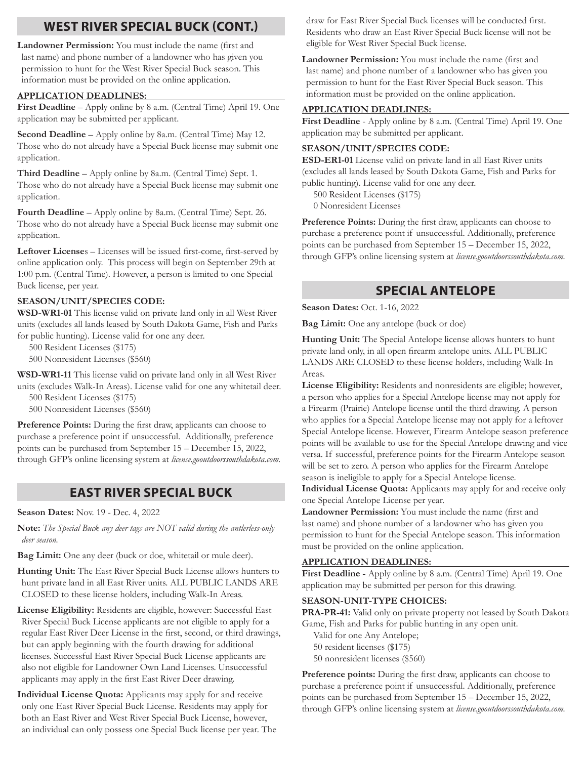### **WEST RIVER SPECIAL BUCK (CONT.)**

**Landowner Permission:** You must include the name (first and last name) and phone number of a landowner who has given you permission to hunt for the West River Special Buck season. This information must be provided on the online application.

#### **APPLICATION DEADLINES:**

**First Deadline** – Apply online by 8 a.m. (Central Time) April 19. One application may be submitted per applicant.

**Second Deadline** – Apply online by 8a.m. (Central Time) May 12. Those who do not already have a Special Buck license may submit one application.

**Third Deadline** – Apply online by 8a.m. (Central Time) Sept. 1. Those who do not already have a Special Buck license may submit one application.

**Fourth Deadline** – Apply online by 8a.m. (Central Time) Sept. 26. Those who do not already have a Special Buck license may submit one application.

**Leftover License**s – Licenses will be issued first-come, first-served by online application only. This process will begin on September 29th at 1:00 p.m. (Central Time). However, a person is limited to one Special Buck license, per year.

#### **SEASON/UNIT/SPECIES CODE:**

**WSD-WR1-01** This license valid on private land only in all West River units (excludes all lands leased by South Dakota Game, Fish and Parks for public hunting). License valid for one any deer.

500 Resident Licenses (\$175)

500 Nonresident Licenses (\$560)

**WSD-WR1-11** This license valid on private land only in all West River units (excludes Walk-In Areas). License valid for one any whitetail deer.

500 Resident Licenses (\$175)

500 Nonresident Licenses (\$560)

Preference Points: During the first draw, applicants can choose to purchase a preference point if unsuccessful. Additionally, preference points can be purchased from September 15 – December 15, 2022, through GFP's online licensing system at *license.gooutdoorssouthdakota.com.*

#### **EAST RIVER SPECIAL BUCK**

**Season Dates:** Nov. 19 - Dec. 4, 2022

**Note:** *The Special Buck any deer tags are NOT valid during the antlerless-only deer season.*

**Bag Limit:** One any deer (buck or doe, whitetail or mule deer).

**Hunting Unit:** The East River Special Buck License allows hunters to hunt private land in all East River units. ALL PUBLIC LANDS ARE CLOSED to these license holders, including Walk-In Areas.

**License Eligibility:** Residents are eligible, however: Successful East River Special Buck License applicants are not eligible to apply for a regular East River Deer License in the first, second, or third drawings, but can apply beginning with the fourth drawing for additional licenses. Successful East River Special Buck License applicants are also not eligible for Landowner Own Land Licenses. Unsuccessful applicants may apply in the first East River Deer drawing.

**Individual License Quota:** Applicants may apply for and receive only one East River Special Buck License. Residents may apply for both an East River and West River Special Buck License, however, an individual can only possess one Special Buck license per year. The draw for East River Special Buck licenses will be conducted first. Residents who draw an East River Special Buck license will not be eligible for West River Special Buck license.

**Landowner Permission:** You must include the name (first and last name) and phone number of a landowner who has given you permission to hunt for the East River Special Buck season. This information must be provided on the online application.

#### **APPLICATION DEADLINES:**

**First Deadline** - Apply online by 8 a.m. (Central Time) April 19. One application may be submitted per applicant.

#### **SEASON/UNIT/SPECIES CODE:**

**ESD-ER1-01** License valid on private land in all East River units (excludes all lands leased by South Dakota Game, Fish and Parks for public hunting). License valid for one any deer.

500 Resident Licenses (\$175)

0 Nonresident Licenses

Preference Points: During the first draw, applicants can choose to purchase a preference point if unsuccessful. Additionally, preference points can be purchased from September 15 – December 15, 2022, through GFP's online licensing system at *license.gooutdoorssouthdakota.com.*

### **SPECIAL ANTELOPE**

**Season Dates:** Oct. 1-16, 2022

**Bag Limit:** One any antelope (buck or doe)

**Hunting Unit:** The Special Antelope license allows hunters to hunt private land only, in all open firearm antelope units. ALL PUBLIC LANDS ARE CLOSED to these license holders, including Walk-In Areas.

**License Eligibility:** Residents and nonresidents are eligible; however, a person who applies for a Special Antelope license may not apply for a Firearm (Prairie) Antelope license until the third drawing. A person who applies for a Special Antelope license may not apply for a leftover Special Antelope license. However, Firearm Antelope season preference points will be available to use for the Special Antelope drawing and vice versa. If successful, preference points for the Firearm Antelope season will be set to zero. A person who applies for the Firearm Antelope season is ineligible to apply for a Special Antelope license.

**Individual License Quota:** Applicants may apply for and receive only one Special Antelope License per year.

**Landowner Permission:** You must include the name (first and last name) and phone number of a landowner who has given you permission to hunt for the Special Antelope season. This information must be provided on the online application.

#### **APPLICATION DEADLINES:**

**First Deadline -** Apply online by 8 a.m. (Central Time) April 19. One application may be submitted per person for this drawing.

#### **SEASON-UNIT-TYPE CHOICES:**

**PRA-PR-41:** Valid only on private property not leased by South Dakota Game, Fish and Parks for public hunting in any open unit.

Valid for one Any Antelope; 50 resident licenses (\$175) 50 nonresident licenses (\$560)

**Preference points:** During the first draw, applicants can choose to purchase a preference point if unsuccessful. Additionally, preference points can be purchased from September 15 – December 15, 2022, through GFP's online licensing system at *license.gooutdoorssouthdakota.com.*